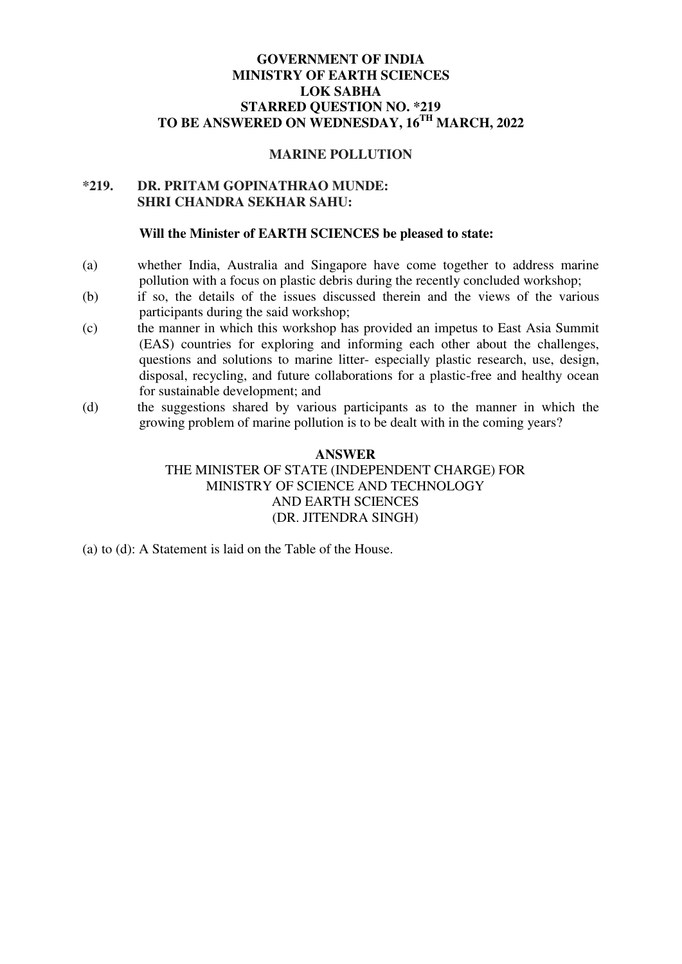# **GOVERNMENT OF INDIA MINISTRY OF EARTH SCIENCES LOK SABHA STARRED QUESTION NO. \*219 TO BE ANSWERED ON WEDNESDAY, 16TH MARCH, 2022**

### **MARINE POLLUTION**

## **\*219. DR. PRITAM GOPINATHRAO MUNDE: SHRI CHANDRA SEKHAR SAHU:**

#### **Will the Minister of EARTH SCIENCES be pleased to state:**

- (a) whether India, Australia and Singapore have come together to address marine pollution with a focus on plastic debris during the recently concluded workshop;
- (b) if so, the details of the issues discussed therein and the views of the various participants during the said workshop;
- (c) the manner in which this workshop has provided an impetus to East Asia Summit (EAS) countries for exploring and informing each other about the challenges, questions and solutions to marine litter- especially plastic research, use, design, disposal, recycling, and future collaborations for a plastic-free and healthy ocean for sustainable development; and
- (d) the suggestions shared by various participants as to the manner in which the growing problem of marine pollution is to be dealt with in the coming years?

# **ANSWER**  THE MINISTER OF STATE (INDEPENDENT CHARGE) FOR MINISTRY OF SCIENCE AND TECHNOLOGY AND EARTH SCIENCES (DR. JITENDRA SINGH)

(a) to (d): A Statement is laid on the Table of the House.